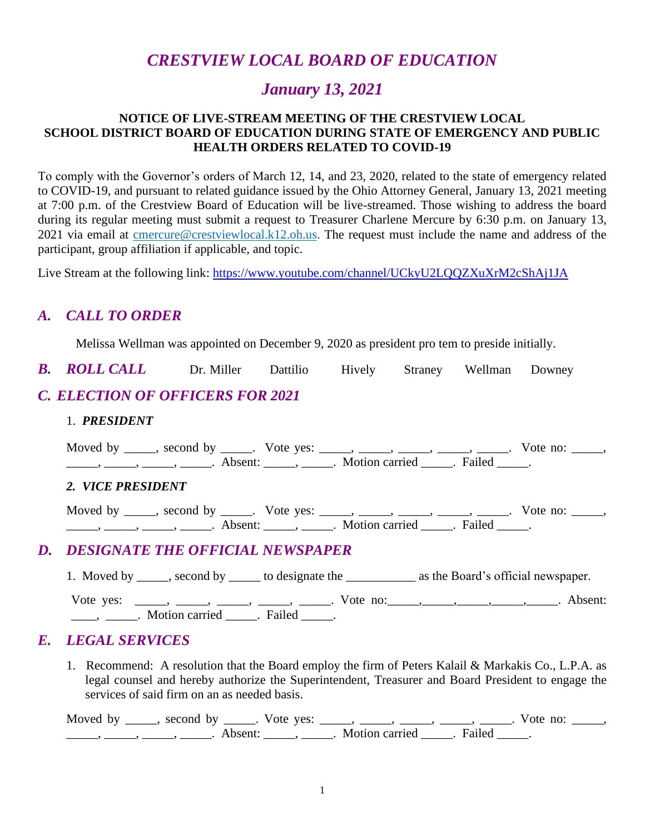# *CRESTVIEW LOCAL BOARD OF EDUCATION*

# *January 13, 2021*

#### **NOTICE OF LIVE-STREAM MEETING OF THE CRESTVIEW LOCAL SCHOOL DISTRICT BOARD OF EDUCATION DURING STATE OF EMERGENCY AND PUBLIC HEALTH ORDERS RELATED TO COVID-19**

To comply with the Governor's orders of March 12, 14, and 23, 2020, related to the state of emergency related to COVID-19, and pursuant to related guidance issued by the Ohio Attorney General, January 13, 2021 meeting at 7:00 p.m. of the Crestview Board of Education will be live-streamed. Those wishing to address the board during its regular meeting must submit a request to Treasurer Charlene Mercure by 6:30 p.m. on January 13, 2021 via email at continuation of crest viewlocal.k12.oh.us. The request must include the name and address of the participant, group affiliation if applicable, and topic.

Live Stream at the following link: <https://www.youtube.com/channel/UCkyU2LQQZXuXrM2cShAj1JA>

### *A. CALL TO ORDER*

Melissa Wellman was appointed on December 9, 2020 as president pro tem to preside initially.

*B. ROLL CALL* Dr. Miller Dattilio Hively Straney Wellman Downey

# *C. ELECTION OF OFFICERS FOR 2021*

#### 1. *PRESIDENT*

| Moved by _____, second by _____. Vote yes: _____, _____, _____, _____, _____. Vote no: _____,<br>$\frac{1}{1}, \frac{1}{1}, \frac{1}{1}, \frac{1}{1}, \frac{1}{1}, \frac{1}{1}, \frac{1}{1}, \frac{1}{1}, \frac{1}{1}, \frac{1}{1}, \frac{1}{1}, \frac{1}{1}, \frac{1}{1}, \frac{1}{1}, \frac{1}{1}, \frac{1}{1}, \frac{1}{1}, \frac{1}{1}, \frac{1}{1}, \frac{1}{1}, \frac{1}{1}, \frac{1}{1}, \frac{1}{1}, \frac{1}{1}, \frac{1}{1}, \frac{1}{1}, \frac{1}{1}, \frac{1}{1}, \frac{1}{1}, \frac{1}{1}, \frac{1}{1}, \frac{$ |  |
|------------------------------------------------------------------------------------------------------------------------------------------------------------------------------------------------------------------------------------------------------------------------------------------------------------------------------------------------------------------------------------------------------------------------------------------------------------------------------------------------------------------------------|--|
| 2. VICE PRESIDENT                                                                                                                                                                                                                                                                                                                                                                                                                                                                                                            |  |
| Moved by _____, second by _____. Vote yes: _____, _____, _____, _____, ____. Vote no: _____,<br>$\frac{1}{1}, \frac{1}{1}, \frac{1}{1}, \frac{1}{1}, \frac{1}{1}, \frac{1}{1}, \frac{1}{1}, \frac{1}{1}, \frac{1}{1}, \frac{1}{1}, \frac{1}{1}, \frac{1}{1}, \frac{1}{1}, \frac{1}{1}, \frac{1}{1}, \frac{1}{1}, \frac{1}{1}, \frac{1}{1}, \frac{1}{1}, \frac{1}{1}, \frac{1}{1}, \frac{1}{1}, \frac{1}{1}, \frac{1}{1}, \frac{1}{1}, \frac{1}{1}, \frac{1}{1}, \frac{1}{1}, \frac{1}{1}, \frac{1}{1}, \frac{1}{1}, \frac{$  |  |
| D. DESIGNATE THE OFFICIAL NEWSPAPER                                                                                                                                                                                                                                                                                                                                                                                                                                                                                          |  |
| 1. Moved by _____, second by ______ to designate the ______________ as the Board's official newspaper.                                                                                                                                                                                                                                                                                                                                                                                                                       |  |

### Vote yes: \_\_\_\_\_, \_\_\_\_\_, \_\_\_\_\_, \_\_\_\_\_, Vote no: \_\_\_\_, \_\_\_\_\_, \_\_\_\_\_, \_\_\_\_\_, Absent: \_\_\_\_\_, \_\_\_\_\_\_. Motion carried \_\_\_\_\_. Failed \_\_\_\_\_.

### *E. LEGAL SERVICES*

 1. Recommend: A resolution that the Board employ the firm of Peters Kalail & Markakis Co., L.P.A. as legal counsel and hereby authorize the Superintendent, Treasurer and Board President to engage the services of said firm on an as needed basis.

Moved by \_\_\_\_\_, second by \_\_\_\_\_. Vote yes: \_\_\_\_\_, \_\_\_\_\_, \_\_\_\_\_, \_\_\_\_\_, \_\_\_\_\_. Vote no: \_\_\_\_\_, \_\_\_\_\_\_, \_\_\_\_\_\_, \_\_\_\_\_\_\_. Absent: \_\_\_\_\_\_, \_\_\_\_\_\_. Motion carried \_\_\_\_\_\_. Failed \_\_\_\_\_.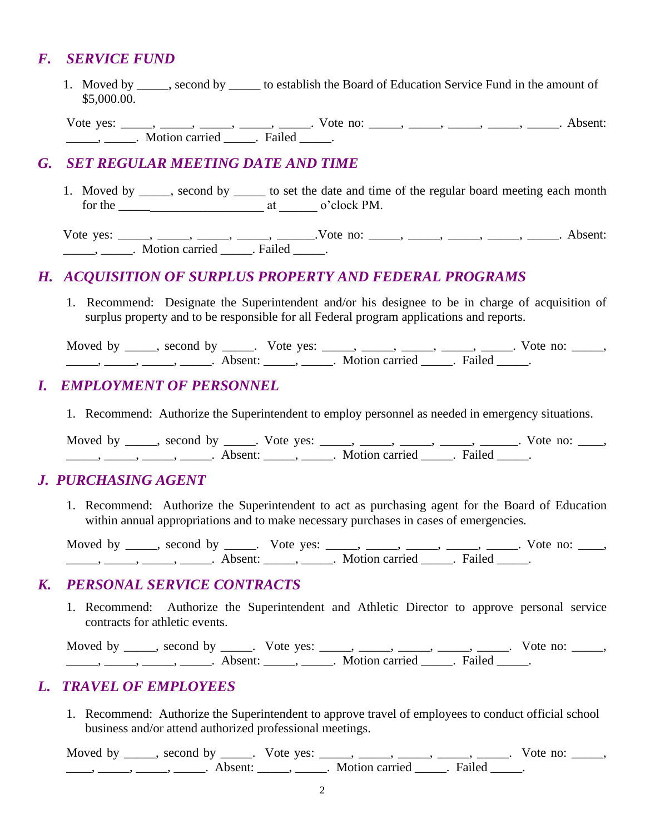### *F. SERVICE FUND*

 1. Moved by \_\_\_\_\_, second by \_\_\_\_\_ to establish the Board of Education Service Fund in the amount of \$5,000.00.

Vote yes: \_\_\_\_\_, \_\_\_\_\_, \_\_\_\_\_, \_\_\_\_\_, Vote no: \_\_\_\_\_, \_\_\_\_\_, \_\_\_\_\_, \_\_\_\_\_, \_\_\_\_\_\_, Absent: \_\_\_\_\_\_\_\_\_\_\_\_\_. Motion carried \_\_\_\_\_\_. Failed \_\_\_\_\_.

### *G. SET REGULAR MEETING DATE AND TIME*

1. Moved by \_\_\_\_\_, second by \_\_\_\_\_ to set the date and time of the regular board meeting each month for the \_\_\_\_\_\_\_\_\_\_\_\_\_\_\_\_\_\_\_\_\_\_\_ at \_\_\_\_\_\_ o'clock PM.

Vote yes:  $\underline{\hspace{1cm}}$ ,  $\underline{\hspace{1cm}}$ ,  $\underline{\hspace{1cm}}$ ,  $\underline{\hspace{1cm}}$ ,  $\underline{\hspace{1cm}}$ ,  $\underline{\hspace{1cm}}$ ,  $\underline{\hspace{1cm}}$ . Absent: \_\_\_\_\_, \_\_\_\_\_. Motion carried \_\_\_\_\_. Failed \_\_\_\_\_.

### *H. ACQUISITION OF SURPLUS PROPERTY AND FEDERAL PROGRAMS*

1. Recommend: Designate the Superintendent and/or his designee to be in charge of acquisition of surplus property and to be responsible for all Federal program applications and reports.

Moved by \_\_\_\_\_, second by \_\_\_\_\_. Vote yes: \_\_\_\_\_, \_\_\_\_\_, \_\_\_\_\_, \_\_\_\_\_, \_\_\_\_\_. Vote no: \_\_\_\_\_, \_\_\_\_\_, \_\_\_\_\_, \_\_\_\_\_, \_\_\_\_\_. Absent: \_\_\_\_\_, \_\_\_\_\_. Motion carried \_\_\_\_\_. Failed \_\_\_\_\_.

### *I. EMPLOYMENT OF PERSONNEL*

1. Recommend: Authorize the Superintendent to employ personnel as needed in emergency situations.

Moved by \_\_\_\_\_, second by \_\_\_\_\_. Vote yes: \_\_\_\_\_, \_\_\_\_\_, \_\_\_\_\_, \_\_\_\_\_, \_\_\_\_\_. Vote no: \_\_\_\_, \_\_\_\_\_, \_\_\_\_\_, \_\_\_\_\_, \_\_\_\_\_. Absent: \_\_\_\_\_, \_\_\_\_\_. Motion carried \_\_\_\_\_. Failed \_\_\_\_\_.

### *J. PURCHASING AGENT*

1. Recommend: Authorize the Superintendent to act as purchasing agent for the Board of Education within annual appropriations and to make necessary purchases in cases of emergencies.

Moved by \_\_\_\_, second by \_\_\_\_. Vote yes: \_\_\_\_, \_\_\_\_, \_\_\_\_, \_\_\_\_, \_\_\_\_. Vote no: \_\_\_, \_\_\_\_\_\_, \_\_\_\_\_, \_\_\_\_\_\_, Absent: \_\_\_\_\_, \_\_\_\_\_. Motion carried \_\_\_\_\_. Failed \_\_\_\_.

### *K. PERSONAL SERVICE CONTRACTS*

1. Recommend: Authorize the Superintendent and Athletic Director to approve personal service contracts for athletic events.

Moved by \_\_\_\_\_, second by \_\_\_\_\_. Vote yes: \_\_\_\_\_, \_\_\_\_\_, \_\_\_\_\_, \_\_\_\_\_, \_\_\_\_\_. Vote no: \_\_\_\_\_,  $\frac{1}{\sqrt{1-\frac{1}{2}}}\frac{1}{\sqrt{1-\frac{1}{2}}}\frac{1}{\sqrt{1-\frac{1}{2}}}\frac{1}{\sqrt{1-\frac{1}{2}}}\frac{1}{\sqrt{1-\frac{1}{2}}}\frac{1}{\sqrt{1-\frac{1}{2}}}\frac{1}{\sqrt{1-\frac{1}{2}}}\frac{1}{\sqrt{1-\frac{1}{2}}}\frac{1}{\sqrt{1-\frac{1}{2}}}\frac{1}{\sqrt{1-\frac{1}{2}}}\frac{1}{\sqrt{1-\frac{1}{2}}}\frac{1}{\sqrt{1-\frac{1}{2}}}\frac{1}{\sqrt{1-\frac{1}{2}}}\frac{1}{\sqrt{1-\frac{$ 

### *L. TRAVEL OF EMPLOYEES*

 1. Recommend: Authorize the Superintendent to approve travel of employees to conduct official school business and/or attend authorized professional meetings.

Moved by \_\_\_\_\_, second by \_\_\_\_\_. Vote yes: \_\_\_\_\_, \_\_\_\_\_, \_\_\_\_\_, \_\_\_\_\_, \_\_\_\_\_. Vote no: \_\_\_\_\_,  $\frac{1}{\sqrt{2\pi}}$ ,  $\frac{1}{\sqrt{2\pi}}$ ,  $\frac{1}{\sqrt{2\pi}}$ ,  $\frac{1}{\sqrt{2\pi}}$ ,  $\frac{1}{\sqrt{2\pi}}$ ,  $\frac{1}{\sqrt{2\pi}}$ ,  $\frac{1}{\sqrt{2\pi}}$ ,  $\frac{1}{\sqrt{2\pi}}$ ,  $\frac{1}{\sqrt{2\pi}}$ ,  $\frac{1}{\sqrt{2\pi}}$ ,  $\frac{1}{\sqrt{2\pi}}$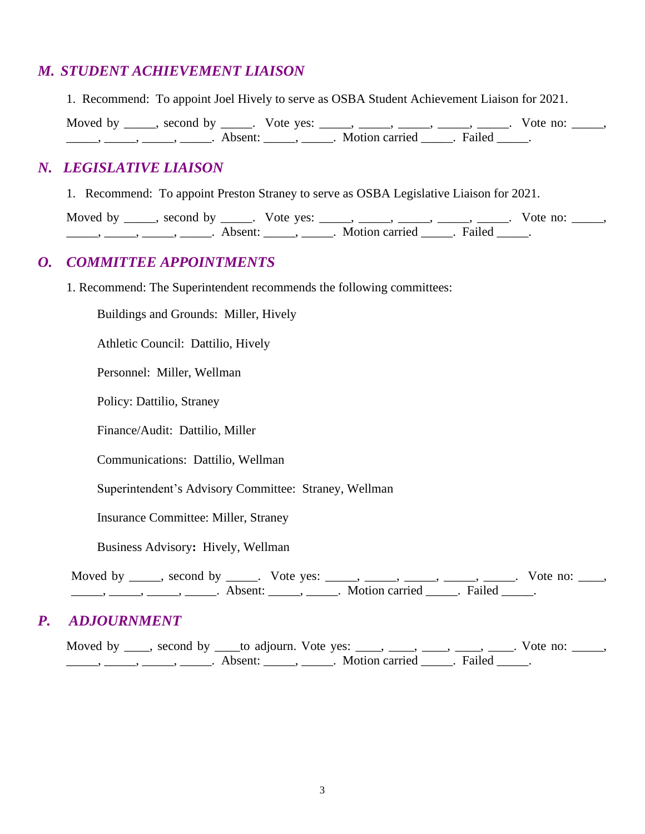### *M. STUDENT ACHIEVEMENT LIAISON*

1. Recommend: To appoint Joel Hively to serve as OSBA Student Achievement Liaison for 2021.

| Moved by | $\sim$ second by | Vote yes: |                  |        | no |  |
|----------|------------------|-----------|------------------|--------|----|--|
|          | Absent           |           | . Motion carried | Failed |    |  |

### *N. LEGISLATIVE LIAISON*

1. Recommend: To appoint Preston Straney to serve as OSBA Legislative Liaison for 2021.

Moved by \_\_\_\_\_, second by \_\_\_\_\_. Vote yes: \_\_\_\_\_, \_\_\_\_\_, \_\_\_\_\_, \_\_\_\_\_, \_\_\_\_\_. Vote no: \_\_\_\_\_, ., \_\_\_\_\_, \_\_\_\_\_, \_\_\_\_\_\_. Absent: \_\_\_\_\_\_, \_\_\_\_\_. Motion carried \_\_\_\_\_. Failed \_\_\_\_\_.

### *O. COMMITTEE APPOINTMENTS*

1. Recommend: The Superintendent recommends the following committees:

Buildings and Grounds: Miller, Hively

Athletic Council: Dattilio, Hively

Personnel: Miller, Wellman

Policy: Dattilio, Straney

Finance/Audit: Dattilio, Miller

Communications: Dattilio, Wellman

Superintendent's Advisory Committee: Straney, Wellman

Insurance Committee: Miller, Straney

Business Advisory**:** Hively, Wellman

Moved by \_\_\_\_\_, second by \_\_\_\_\_. Vote yes: \_\_\_\_\_, \_\_\_\_\_, \_\_\_\_\_, \_\_\_\_\_, \_\_\_\_\_. Vote no: \_\_\_\_,  $\longrightarrow$  \_\_\_\_\_, \_\_\_\_\_, Absent: \_\_\_\_\_, \_\_\_\_\_. Motion carried \_\_\_\_. Failed \_\_\_\_.

### *P. ADJOURNMENT*

Moved by  $\_\_\_$ , second by  $\_\_\_$  to adjourn. Vote yes:  $\_\_\_\_\_$ ,  $\_\_\_\_$ ,  $\_\_\_\_$ ,  $\_\_\_\_$ . Vote no:  $\_\_\_\_\_$  $\underline{\phantom{a}}$ ,  $\underline{\phantom{a}}$ ,  $\underline{\phantom{a}}$ ,  $\underline{\phantom{a}}$ ,  $\underline{\phantom{a}}$ ,  $\underline{\phantom{a}}$ ,  $\underline{\phantom{a}}$ ,  $\underline{\phantom{a}}$ ,  $\underline{\phantom{a}}$ ,  $\underline{\phantom{a}}$ ,  $\underline{\phantom{a}}$ ,  $\underline{\phantom{a}}$ ,  $\underline{\phantom{a}}$ ,  $\underline{\phantom{a}}$ ,  $\underline{\phantom{a}}$ ,  $\underline{\phantom{a}}$ ,  $\underline{\phantom{a}}$ ,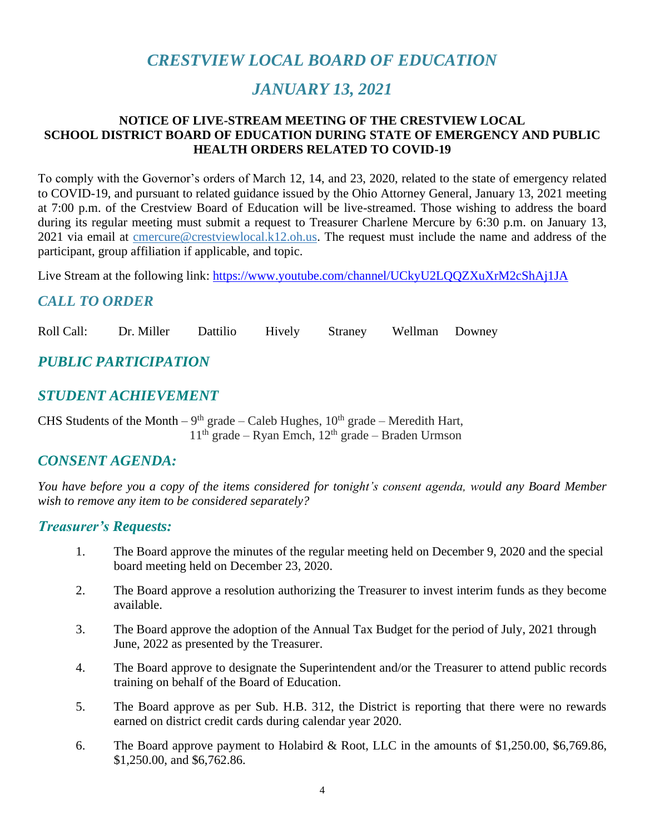# *CRESTVIEW LOCAL BOARD OF EDUCATION*

# *JANUARY 13, 2021*

#### **NOTICE OF LIVE-STREAM MEETING OF THE CRESTVIEW LOCAL SCHOOL DISTRICT BOARD OF EDUCATION DURING STATE OF EMERGENCY AND PUBLIC HEALTH ORDERS RELATED TO COVID-19**

To comply with the Governor's orders of March 12, 14, and 23, 2020, related to the state of emergency related to COVID-19, and pursuant to related guidance issued by the Ohio Attorney General, January 13, 2021 meeting at 7:00 p.m. of the Crestview Board of Education will be live-streamed. Those wishing to address the board during its regular meeting must submit a request to Treasurer Charlene Mercure by 6:30 p.m. on January 13, 2021 via email at [cmercure@crestviewlocal.k12.oh.us.](mailto:cmercure@crestviewlocal.k12.oh.us) The request must include the name and address of the participant, group affiliation if applicable, and topic.

Live Stream at the following link: <https://www.youtube.com/channel/UCkyU2LQQZXuXrM2cShAj1JA>

### *CALL TO ORDER*

Roll Call: Dr. Miller Dattilio Hively Straney Wellman Downey

# *PUBLIC PARTICIPATION*

### *STUDENT ACHIEVEMENT*

CHS Students of the Month – 9<sup>th</sup> grade – Caleb Hughes,  $10^{th}$  grade – Meredith Hart, 11<sup>th</sup> grade – Ryan Emch, 12<sup>th</sup> grade – Braden Urmson

### *CONSENT AGENDA:*

*You have before you a copy of the items considered for tonight's consent agenda, would any Board Member wish to remove any item to be considered separately?*

### *Treasurer's Requests:*

- 1. The Board approve the minutes of the regular meeting held on December 9, 2020 and the special board meeting held on December 23, 2020.
- 2. The Board approve a resolution authorizing the Treasurer to invest interim funds as they become available.
- 3. The Board approve the adoption of the Annual Tax Budget for the period of July, 2021 through June, 2022 as presented by the Treasurer.
- 4. The Board approve to designate the Superintendent and/or the Treasurer to attend public records training on behalf of the Board of Education.
- 5. The Board approve as per Sub. H.B. 312, the District is reporting that there were no rewards earned on district credit cards during calendar year 2020.
- 6. The Board approve payment to Holabird & Root, LLC in the amounts of \$1,250.00, \$6,769.86, \$1,250.00, and \$6,762.86.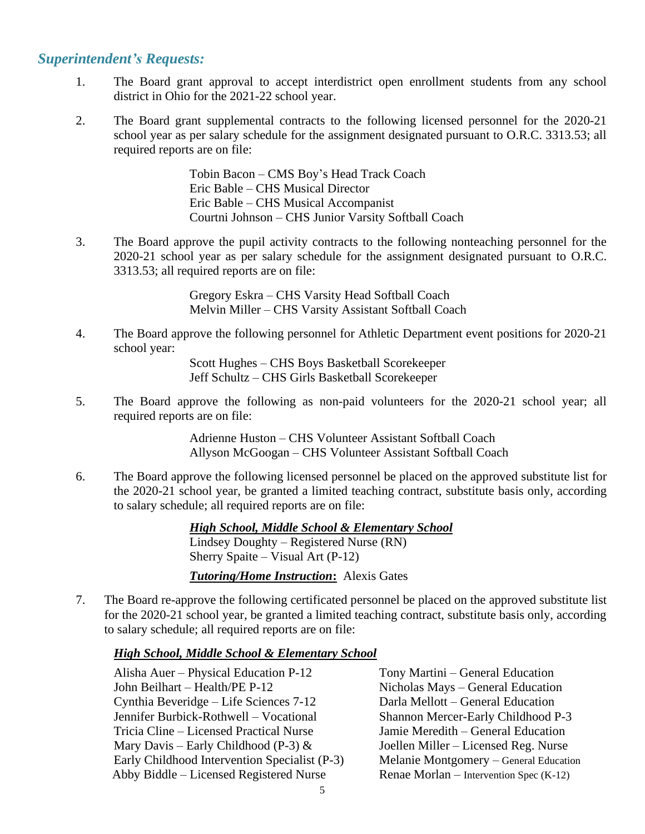### *Superintendent's Requests:*

- 1. The Board grant approval to accept interdistrict open enrollment students from any school district in Ohio for the 2021-22 school year.
- 2. The Board grant supplemental contracts to the following licensed personnel for the 2020-21 school year as per salary schedule for the assignment designated pursuant to O.R.C. 3313.53; all required reports are on file:

Tobin Bacon – CMS Boy's Head Track Coach Eric Bable – CHS Musical Director Eric Bable – CHS Musical Accompanist Courtni Johnson – CHS Junior Varsity Softball Coach

3. The Board approve the pupil activity contracts to the following nonteaching personnel for the 2020-21 school year as per salary schedule for the assignment designated pursuant to O.R.C. 3313.53; all required reports are on file:

> Gregory Eskra – CHS Varsity Head Softball Coach Melvin Miller – CHS Varsity Assistant Softball Coach

4. The Board approve the following personnel for Athletic Department event positions for 2020-21 school year:

> Scott Hughes – CHS Boys Basketball Scorekeeper Jeff Schultz – CHS Girls Basketball Scorekeeper

5. The Board approve the following as non-paid volunteers for the 2020-21 school year; all required reports are on file:

> Adrienne Huston – CHS Volunteer Assistant Softball Coach Allyson McGoogan – CHS Volunteer Assistant Softball Coach

6. The Board approve the following licensed personnel be placed on the approved substitute list for the 2020-21 school year, be granted a limited teaching contract, substitute basis only, according to salary schedule; all required reports are on file:

> *High School, Middle School & Elementary School* Lindsey Doughty – Registered Nurse (RN) Sherry Spaite – Visual Art (P-12) *Tutoring/Home Instruction***:** Alexis Gates

7. The Board re-approve the following certificated personnel be placed on the approved substitute list for the 2020-21 school year, be granted a limited teaching contract, substitute basis only, according to salary schedule; all required reports are on file:

#### *High School, Middle School & Elementary School*

Alisha Auer – Physical Education P-12 Tony Martini – General Education John Beilhart – Health/PE P-12 Nicholas Mays – General Education Cynthia Beveridge – Life Sciences 7-12 Darla Mellott – General Education Jennifer Burbick-Rothwell – Vocational Shannon Mercer-Early Childhood P-3 Tricia Cline – Licensed Practical Nurse Jamie Meredith – General Education Mary Davis – Early Childhood (P-3)  $\&$  Joellen Miller – Licensed Reg. Nurse Early Childhood Intervention Specialist (P-3) Melanie Montgomery – General Education Abby Biddle – Licensed Registered Nurse Renae Morlan – Intervention Spec (K-12)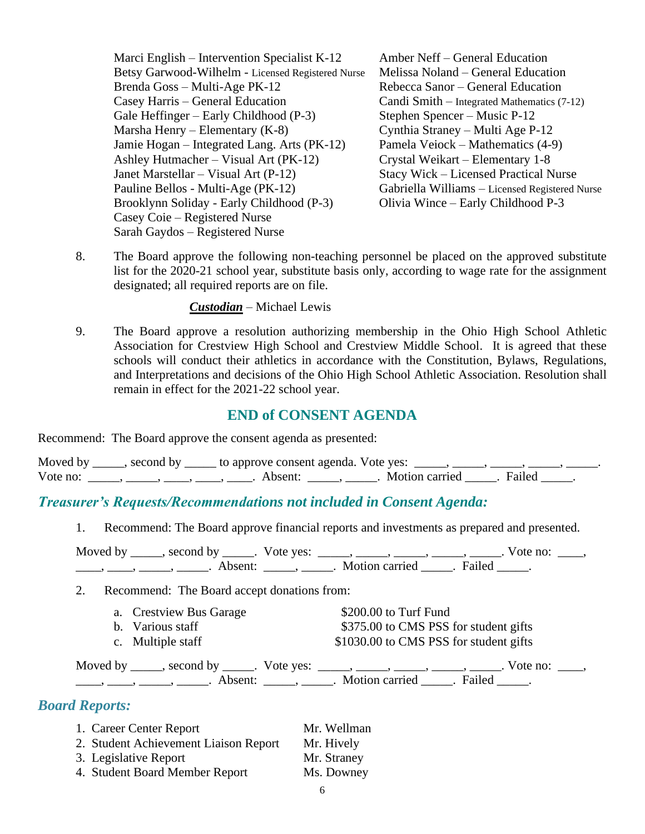Marci English – Intervention Specialist K-12 Amber Neff – General Education Betsy Garwood-Wilhelm - Licensed Registered Nurse Melissa Noland – General Education Brenda Goss – Multi-Age PK-12 Rebecca Sanor – General Education Casey Harris – General Education Candi Smith – Integrated Mathematics (7-12) Gale Heffinger – Early Childhood (P-3) Stephen Spencer – Music P-12 Marsha Henry – Elementary (K-8) Cynthia Straney – Multi Age P-12 Jamie Hogan – Integrated Lang. Arts (PK-12) Pamela Veiock – Mathematics (4-9) Ashley Hutmacher – Visual Art (PK-12) Crystal Weikart – Elementary 1-8 Janet Marstellar – Visual Art (P-12) Stacy Wick – Licensed Practical Nurse Pauline Bellos - Multi-Age (PK-12) Gabriella Williams – Licensed Registered Nurse Brooklynn Soliday - Early Childhood (P-3) Olivia Wince – Early Childhood P-3 Casey Coie – Registered Nurse Sarah Gaydos – Registered Nurse

8. The Board approve the following non-teaching personnel be placed on the approved substitute list for the 2020-21 school year, substitute basis only, according to wage rate for the assignment designated; all required reports are on file.

*Custodian* – Michael Lewis

9. The Board approve a resolution authorizing membership in the Ohio High School Athletic Association for Crestview High School and Crestview Middle School. It is agreed that these schools will conduct their athletics in accordance with the Constitution, Bylaws, Regulations, and Interpretations and decisions of the Ohio High School Athletic Association. Resolution shall remain in effect for the 2021-22 school year.

### **END of CONSENT AGENDA**

Recommend: The Board approve the consent agenda as presented:

| Moved by | __, second by _____ to approve consent agenda. Vote yes: |                         |  |
|----------|----------------------------------------------------------|-------------------------|--|
| Vote no: | Absent <sup>.</sup>                                      | Motion carried . Failed |  |

### *Treasurer's Requests/Recommendations not included in Consent Agenda:*

1. Recommend: The Board approve financial reports and investments as prepared and presented.

| Moved by | second by           | Vote ves: |                |        | Vote no: |  |
|----------|---------------------|-----------|----------------|--------|----------|--|
|          | Absent <sup>.</sup> |           | Motion carried | Failed |          |  |

2. Recommend: The Board accept donations from:

| a. Crestview Bus Garage | \$200.00 to Turf Fund                  |
|-------------------------|----------------------------------------|
| b. Various staff        | \$375.00 to CMS PSS for student gifts  |
| c. Multiple staff       | \$1030.00 to CMS PSS for student gifts |

Moved by \_\_\_\_\_, second by \_\_\_\_\_. Vote yes: \_\_\_\_\_, \_\_\_\_\_, \_\_\_\_\_, \_\_\_\_\_, \_\_\_\_\_. Vote no: \_\_\_\_, \_\_\_\_, \_\_\_\_\_, \_\_\_\_\_\_, Absent: \_\_\_\_\_, \_\_\_\_\_. Motion carried \_\_\_\_\_. Failed \_\_\_\_\_.

### *Board Reports:*

| 1. Career Center Report               | Mr. Wellman |
|---------------------------------------|-------------|
| 2. Student Achievement Liaison Report | Mr. Hively  |
| 3. Legislative Report                 | Mr. Straney |
| 4. Student Board Member Report        | Ms. Downey  |
|                                       |             |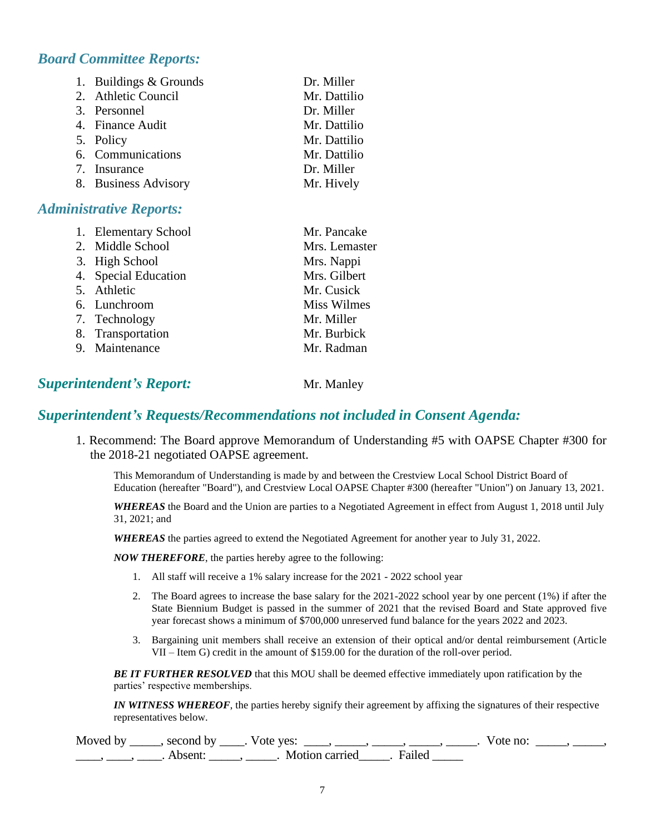### *Board Committee Reports:*

| 1. Buildings & Grounds | Dr. Miller   |
|------------------------|--------------|
| 2. Athletic Council    | Mr. Dattilio |
| 3. Personnel           | Dr. Miller   |
| 4. Finance Audit       | Mr. Dattilio |
| 5. Policy              | Mr. Dattilio |
| 6. Communications      | Mr. Dattilio |
| 7. Insurance           | Dr. Miller   |
| 8. Business Advisory   | Mr. Hively   |

### *Administrative Reports:*

| 1. Elementary School | Mr. Pancake        |
|----------------------|--------------------|
| 2. Middle School     | Mrs. Lemaster      |
| 3. High School       | Mrs. Nappi         |
| 4. Special Education | Mrs. Gilbert       |
| 5. Athletic          | Mr. Cusick         |
| 6. Lunchroom         | <b>Miss Wilmes</b> |
| 7. Technology        | Mr. Miller         |
| 8. Transportation    | Mr. Burbick        |
| 9. Maintenance       | Mr. Radman         |

# **Superintendent's Report:** Mr. Manley

### *Superintendent's Requests/Recommendations not included in Consent Agenda:*

1. Recommend: The Board approve Memorandum of Understanding #5 with OAPSE Chapter #300 for the 2018-21 negotiated OAPSE agreement.

This Memorandum of Understanding is made by and between the Crestview Local School District Board of Education (hereafter "Board"), and Crestview Local OAPSE Chapter #300 (hereafter "Union") on January 13, 2021.

*WHEREAS* the Board and the Union are parties to a Negotiated Agreement in effect from August 1, 2018 until July 31, 2021; and

*WHEREAS* the parties agreed to extend the Negotiated Agreement for another year to July 31, 2022.

*NOW THEREFORE*, the parties hereby agree to the following:

- 1. All staff will receive a 1% salary increase for the 2021 2022 school year
- 2. The Board agrees to increase the base salary for the 2021-2022 school year by one percent (1%) if after the State Biennium Budget is passed in the summer of 2021 that the revised Board and State approved five year forecast shows a minimum of \$700,000 unreserved fund balance for the years 2022 and 2023.
- 3. Bargaining unit members shall receive an extension of their optical and/or dental reimbursement (Article VII – Item G) credit in the amount of \$159.00 for the duration of the roll-over period.

*BE IT FURTHER RESOLVED* that this MOU shall be deemed effective immediately upon ratification by the parties' respective memberships.

*IN WITNESS WHEREOF*, the parties hereby signify their agreement by affixing the signatures of their respective representatives below.

| Moved by | second by           | Vote yes:      |        | vote no. |  |
|----------|---------------------|----------------|--------|----------|--|
|          | Absent <sup>®</sup> | Motion carried | Failed |          |  |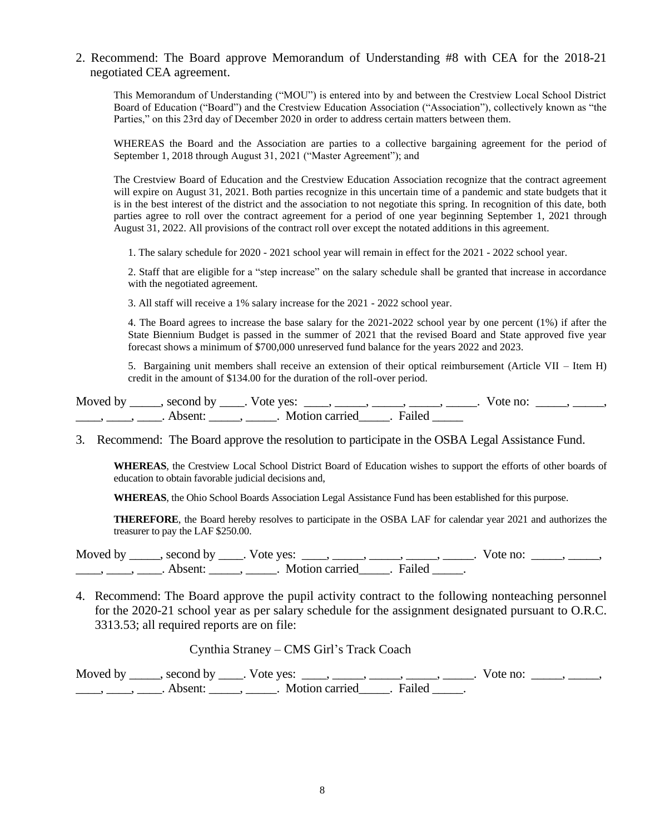2. Recommend: The Board approve Memorandum of Understanding #8 with CEA for the 2018-21 negotiated CEA agreement.

This Memorandum of Understanding ("MOU") is entered into by and between the Crestview Local School District Board of Education ("Board") and the Crestview Education Association ("Association"), collectively known as "the Parties," on this 23rd day of December 2020 in order to address certain matters between them.

WHEREAS the Board and the Association are parties to a collective bargaining agreement for the period of September 1, 2018 through August 31, 2021 ("Master Agreement"); and

The Crestview Board of Education and the Crestview Education Association recognize that the contract agreement will expire on August 31, 2021. Both parties recognize in this uncertain time of a pandemic and state budgets that it is in the best interest of the district and the association to not negotiate this spring. In recognition of this date, both parties agree to roll over the contract agreement for a period of one year beginning September 1, 2021 through August 31, 2022. All provisions of the contract roll over except the notated additions in this agreement.

1. The salary schedule for 2020 - 2021 school year will remain in effect for the 2021 - 2022 school year.

2. Staff that are eligible for a "step increase" on the salary schedule shall be granted that increase in accordance with the negotiated agreement.

3. All staff will receive a 1% salary increase for the 2021 - 2022 school year.

4. The Board agrees to increase the base salary for the 2021-2022 school year by one percent (1%) if after the State Biennium Budget is passed in the summer of 2021 that the revised Board and State approved five year forecast shows a minimum of \$700,000 unreserved fund balance for the years 2022 and 2023.

5. Bargaining unit members shall receive an extension of their optical reimbursement (Article VII – Item H) credit in the amount of \$134.00 for the duration of the roll-over period.

| Moved by | second by | Vote yes:      |          | Vote no: |  |
|----------|-----------|----------------|----------|----------|--|
|          | Absent:   | Motion carried | . Failed |          |  |

3. Recommend: The Board approve the resolution to participate in the OSBA Legal Assistance Fund.

**WHEREAS**, the Crestview Local School District Board of Education wishes to support the efforts of other boards of education to obtain favorable judicial decisions and,

**WHEREAS**, the Ohio School Boards Association Legal Assistance Fund has been established for this purpose.

**THEREFORE**, the Board hereby resolves to participate in the OSBA LAF for calendar year 2021 and authorizes the treasurer to pay the LAF \$250.00.

Moved by  $\_\_\_\_\$ , second by  $\_\_\_\$ . Vote yes:  $\_\_\_\_\_\_\_\_\_\_\_\_\_$ ,  $\_\_\_\_\_\_\_\_\_\_\_\_\_\_\_$ . Vote no:  $\_\_\_\_\_\_\_\_\_\_\_$ \_\_\_\_\_, \_\_\_\_\_, Absent: \_\_\_\_\_, \_\_\_\_\_. Motion carried \_\_\_\_\_. Failed \_\_\_\_\_.

4. Recommend: The Board approve the pupil activity contract to the following nonteaching personnel for the 2020-21 school year as per salary schedule for the assignment designated pursuant to O.R.C. 3313.53; all required reports are on file:

Cynthia Straney – CMS Girl's Track Coach

Moved by \_\_\_\_\_, second by \_\_\_\_. Vote yes: \_\_\_\_, \_\_\_\_\_, \_\_\_\_\_, \_\_\_\_\_, \_\_\_\_\_. Vote no: \_\_\_\_\_, \_\_\_\_\_, \_\_\_\_\_, \_\_\_\_\_, Absent: \_\_\_\_\_, \_\_\_\_\_. Motion carried \_\_\_\_\_. Failed \_\_\_\_\_.